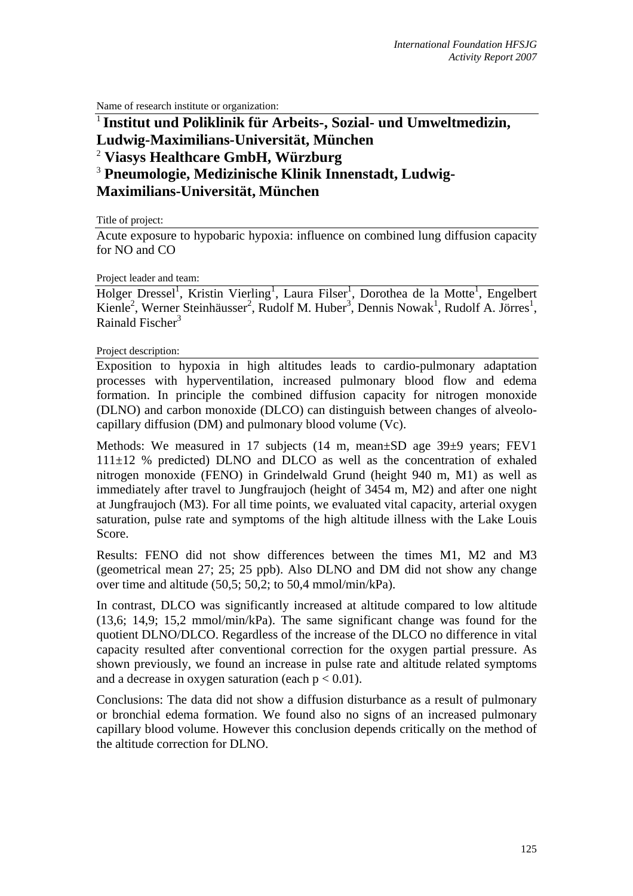Name of research institute or organization:

## <sup>1</sup> **Institut und Poliklinik für Arbeits-, Sozial- und Umweltmedizin, Ludwig-Maximilians-Universität, München**  2  **Viasys Healthcare GmbH, Würzburg**  3  **Pneumologie, Medizinische Klinik Innenstadt, Ludwig-**

**Maximilians-Universität, München**

Title of project:

Acute exposure to hypobaric hypoxia: influence on combined lung diffusion capacity for NO and CO

Project leader and team:

Holger Dressel<sup>1</sup>, Kristin Vierling<sup>1</sup>, Laura Filser<sup>1</sup>, Dorothea de la Motte<sup>1</sup>, Engelbert Kienle<sup>2</sup>, Werner Steinhäusser<sup>2</sup>, Rudolf M. Huber<sup>3</sup>, Dennis Nowak<sup>1</sup>, Rudolf A. Jörres<sup>1</sup>, Rainald Fischer<sup>3</sup>

Project description:

Exposition to hypoxia in high altitudes leads to cardio-pulmonary adaptation processes with hyperventilation, increased pulmonary blood flow and edema formation. In principle the combined diffusion capacity for nitrogen monoxide (DLNO) and carbon monoxide (DLCO) can distinguish between changes of alveolocapillary diffusion (DM) and pulmonary blood volume (Vc).

Methods: We measured in 17 subjects (14 m, mean±SD age 39±9 years; FEV1  $111\pm12$  % predicted) DLNO and DLCO as well as the concentration of exhaled nitrogen monoxide (FENO) in Grindelwald Grund (height 940 m, M1) as well as immediately after travel to Jungfraujoch (height of 3454 m, M2) and after one night at Jungfraujoch (M3). For all time points, we evaluated vital capacity, arterial oxygen saturation, pulse rate and symptoms of the high altitude illness with the Lake Louis Score.

Results: FENO did not show differences between the times M1, M2 and M3 (geometrical mean 27; 25; 25 ppb). Also DLNO and DM did not show any change over time and altitude (50,5; 50,2; to 50,4 mmol/min/kPa).

In contrast, DLCO was significantly increased at altitude compared to low altitude (13,6; 14,9; 15,2 mmol/min/kPa). The same significant change was found for the quotient DLNO/DLCO. Regardless of the increase of the DLCO no difference in vital capacity resulted after conventional correction for the oxygen partial pressure. As shown previously, we found an increase in pulse rate and altitude related symptoms and a decrease in oxygen saturation (each  $p < 0.01$ ).

Conclusions: The data did not show a diffusion disturbance as a result of pulmonary or bronchial edema formation. We found also no signs of an increased pulmonary capillary blood volume. However this conclusion depends critically on the method of the altitude correction for DLNO.